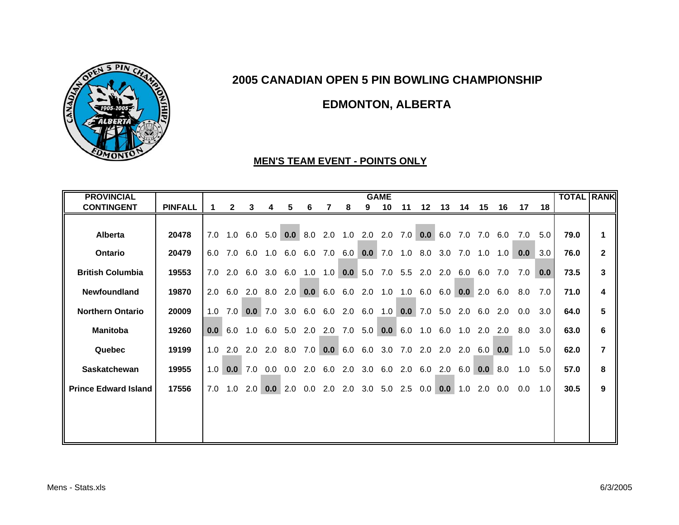

# **EDMONTON, ALBERTA**

#### **MEN'S TEAM EVENT - POINTS ONLY**

| <b>PROVINCIAL</b>           |                |     |                  |                                                                 |             |         |     |                                                     |                |                 | <b>GAME</b>    |     |                       |                |     |                 |       |     |     | <b>TOTAL RANK</b> |                |
|-----------------------------|----------------|-----|------------------|-----------------------------------------------------------------|-------------|---------|-----|-----------------------------------------------------|----------------|-----------------|----------------|-----|-----------------------|----------------|-----|-----------------|-------|-----|-----|-------------------|----------------|
| <b>CONTINGENT</b>           | <b>PINFALL</b> |     | $\mathbf{2}$     | 3                                                               | 4           | 5       | 6   |                                                     | 8              | 9               | 10             | 11  |                       | 12  13  14  15 |     |                 | 16 17 |     | 18  |                   |                |
|                             |                |     |                  |                                                                 |             |         |     |                                                     |                |                 |                |     |                       |                |     |                 |       |     |     |                   |                |
| <b>Alberta</b>              | 20478          |     |                  | 7.0 1.0 6.0 5.0 0.0 8.0 2.0 1.0 2.0 2.0 7.0 0.0 6.0 7.0 6.0 6.0 |             |         |     |                                                     |                |                 |                |     |                       |                |     |                 |       | 7.0 | 5.0 | 79.0              | 1              |
| Ontario                     | 20479          | 6.0 | 7.0              |                                                                 | 6.0 1.0 6.0 |         |     | 6.0 7.0 6.0                                         |                |                 |                |     | $0.0$ 7.0 1.0 8.0 3.0 |                | 7.0 | 1.0             | 1.0   | 0.0 | 3.0 | 76.0              | $\overline{2}$ |
| <b>British Columbia</b>     | 19553          | 7.0 | 2.0              | 6.0                                                             | 3.0         | 6.0     |     | $1.0$ $1.0$                                         |                | $0.0 \quad 5.0$ |                |     | 7.0 5.5 2.0 2.0       |                | 6.0 | 6.0             | 7.0   | 7.0 | 0.0 | 73.5              | 3              |
| Newfoundland                | 19870          | 2.0 | 6.0              |                                                                 |             |         |     | 2.0 8.0 2.0 0.0 6.0 6.0 2.0 1.0 1.0 6.0 6.0         |                |                 |                |     |                       |                |     | $0.0 \quad 2.0$ | 6.0   | 8.0 | 7.0 | 71.0              | 4              |
| <b>Northern Ontario</b>     | 20009          | 1.0 | 7.0 <sub>1</sub> |                                                                 |             |         |     | 0.0 7.0 3.0 6.0 6.0 2.0 6.0 1.0 0.0 7.0 5.0 2.0 6.0 |                |                 |                |     |                       |                |     |                 | 2.0   | 0.0 | 3.0 | 64.0              | 5              |
| <b>Manitoba</b>             | 19260          |     |                  | 0.0 6.0 1.0 6.0 5.0 2.0 2.0 7.0 5.0 0.0 6.0 1.0 6.0 1.0 2.0     |             |         |     |                                                     |                |                 |                |     |                       |                |     |                 | 2.0   | 8.0 | 3.0 | 63.0              | 6              |
| Quebec                      | 19199          |     | $1.0$ 2.0        |                                                                 |             |         |     | 2.0 2.0 8.0 7.0 0.0 6.0 6.0 3.0 7.0 2.0 2.0 2.0     |                |                 |                |     |                       |                |     | 6.0             | 0.0   | 1.0 | 5.0 | 62.0              | $\overline{7}$ |
| <b>Saskatchewan</b>         | 19955          |     |                  | $1.0$ 0.0 7.0                                                   | 0.0         | $0.0\,$ |     | 2.0 6.0 2.0 3.0 6.0 2.0 6.0                         |                |                 |                |     |                       | 2.0            | 6.0 | 0.0             | 8.0   | 1.0 | 5.0 | 57.0              | 8              |
| <b>Prince Edward Island</b> | 17556          | 7.0 | 1.0              | 2.0                                                             |             | 0.0 2.0 | 0.0 |                                                     | $2.0\quad 2.0$ |                 | $3.0\quad 5.0$ | 2.5 | 0.0                   | 0.0            | 1.0 | 2.0             | 0.0   | 0.0 | 1.0 | 30.5              | 9              |
|                             |                |     |                  |                                                                 |             |         |     |                                                     |                |                 |                |     |                       |                |     |                 |       |     |     |                   |                |
|                             |                |     |                  |                                                                 |             |         |     |                                                     |                |                 |                |     |                       |                |     |                 |       |     |     |                   |                |
|                             |                |     |                  |                                                                 |             |         |     |                                                     |                |                 |                |     |                       |                |     |                 |       |     |     |                   |                |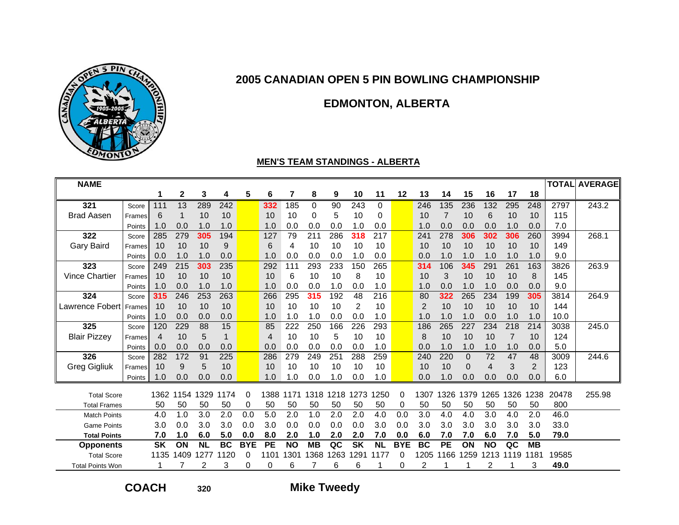

# **EDMONTON, ALBERTA**

#### **MEN'S TEAM STANDINGS - ALBERTA**

| <b>NAME</b>             |        |           |              |           |           |            |                |           |           |      |           |           |            |                |           |             |           |                |           |       | <b>TOTAL AVERAGE</b> |
|-------------------------|--------|-----------|--------------|-----------|-----------|------------|----------------|-----------|-----------|------|-----------|-----------|------------|----------------|-----------|-------------|-----------|----------------|-----------|-------|----------------------|
|                         |        |           | $\mathbf{2}$ | 3         | 4         | 5          | 6              |           | 8         | 9    | 10        | 11        | 12         | 13             | 14        | 15          | 16        | 17             | 18        |       |                      |
| 321                     | Score  | 111       | 13           | 289       | 242       |            | 332            | 185       | 0         | 90   | 243       | 0         |            | 246            | 135       | 236         | 132       | 295            | 248       | 2797  | 243.2                |
| <b>Brad Aasen</b>       | Frames | 6         |              | 10        | 10        |            | 10             | 10        | 0         | 5    | 10        | 0         |            | 10             | 7         | 10          | 6         | 10             | 10        | 115   |                      |
|                         | Points | 1.0       | 0.0          | 1.0       | 1.0       |            | 1.0            | 0.0       | 0.0       | 0.0  | 1.0       | 0.0       |            | 1.0            | 0.0       | 0.0         | 0.0       | 1.0            | 0.0       | 7.0   |                      |
| 322                     | Score  | 285       | 279          | 305       | 194       |            | 127            | 79        | 211       | 286  | 318       | 217       |            | 241            | 278       | 306         | 302       | 306            | 260       | 3994  | 268.1                |
| <b>Gary Baird</b>       | Frames | 10        | 10           | 10        | 9         |            | 6              | 4         | 10        | 10   | 10        | 10        |            | 10             | 10        | 10          | 10        | 10             | 10        | 149   |                      |
|                         | Points | 0.0       | 1.0          | 1.0       | 0.0       |            | 1.0            | 0.0       | 0.0       | 0.0  | 1.0       | 0.0       |            | 0.0            | 1.0       | 1.0         | 1.0       | 1.0            | 1.0       | 9.0   |                      |
| 323                     | Score  | 249       | 215          | 303       | 235       |            | 292            | 111       | 293       | 233  | 150       | 265       |            | 314            | 106       | 345         | 291       | 261            | 163       | 3826  | 263.9                |
| <b>Vince Chartier</b>   | Frames | 10        | 10           | 10        | 10        |            | 10             | 6         | 10        | 10   | 8         | 10        |            | 10             | 3         | 10          | 10        | 10             | 8         | 145   |                      |
|                         | Points | 1.0       | 0.0          | 1.0       | 1.0       |            | 1.0            | 0.0       | 0.0       | 1.0  | 0.0       | 1.0       |            | 1.0            | 0.0       | 1.0         | 1.0       | 0.0            | 0.0       | 9.0   |                      |
| 324                     | Score  | 315       | 246          | 253       | 263       |            | 266            | 295       | 315       | 192  | 48        | 216       |            | 80             | 322       | 265         | 234       | 199            | 305       | 3814  | 264.9                |
| Lawrence Fobert         | Frames | 10        | 10           | 10        | 10        |            | 10             | 10        | 10        | 10   | 2         | 10        |            | $\overline{2}$ | 10        | 10          | 10        | 10             | 10        | 144   |                      |
|                         | Points | 1.0       | 0.0          | 0.0       | 0.0       |            | 1.0            | 1.0       | 1.0       | 0.0  | 0.0       | 1.0       |            | 1.0            | 1.0       | 1.0         | 0.0       | 1.0            | 1.0       | 10.0  |                      |
| 325                     | Score  | 120       | 229          | 88        | 15        |            | 85             | 222       | 250       | 166  | 226       | 293       |            | 186            | 265       | 227         | 234       | 218            | 214       | 3038  | 245.0                |
| <b>Blair Pizzey</b>     | Frames | 4         | 10           | 5         | 1         |            | $\overline{4}$ | 10        | 10        | 5    | 10        | 10        |            | 8              | 10        | 10          | 10        | $\overline{7}$ | 10        | 124   |                      |
|                         | Points | 0.0       | 0.0          | 0.0       | 0.0       |            | 0.0            | 0.0       | 0.0       | 0.0  | 0.0       | 1.0       |            | 0.0            | 1.0       | 1.0         | 1.0       | 1.0            | 0.0       | 5.0   |                      |
| 326                     | Score  | 282       | 172          | 91        | 225       |            | 286            | 279       | 249       | 251  | 288       | 259       |            | 240            | 220       | $\mathbf 0$ | 72        | 47             | 48        | 3009  | 244.6                |
| <b>Greg Gigliuk</b>     | Frames | 10        | 9            | 5         | 10        |            | 10             | 10        | 10        | 10   | 10        | 10        |            | 10             | 10        | 0           | 4         | 3              | 2         | 123   |                      |
|                         | Points | 1.0       | 0.0          | 0.0       | 0.0       |            | 1.0            | 1.0       | 0.0       | 1.0  | 0.0       | 1.0       |            | 0.0            | 1.0       | 0.0         | 0.0       | 0.0            | 0.0       | 6.0   |                      |
| <b>Total Score</b>      |        | 1362      | 1154         | 1329      | 1174      | 0          | 1388           | 1171      | 1318      | 1218 | 1273      | 1250      | 0          | 1307           | 1326      | 1379        | 1265      | 1326           | 1238      | 20478 | 255.98               |
| <b>Total Frames</b>     |        | 50        | 50           | 50        | 50        | 0          | 50             | 50        | 50        | 50   | 50        | 50        | 0          | 50             | 50        | 50          | 50        | 50             | 50        | 800   |                      |
| <b>Match Points</b>     |        | 4.0       | 1.0          | 3.0       | 2.0       | 0.0        | 5.0            | 2.0       | 1.0       | 2.0  | 2.0       | 4.0       | 0.0        | 3.0            | 4.0       | 4.0         | 3.0       | 4.0            | 2.0       | 46.0  |                      |
| <b>Game Points</b>      |        | 3.0       | 0.0          | 3.0       | 3.0       | 0.0        | 3.0            | 0.0       | 0.0       | 0.0  | 0.0       | 3.0       | 0.0        | 3.0            | 3.0       | 3.0         | 3.0       | 3.0            | 3.0       | 33.0  |                      |
| <b>Total Points</b>     |        | 7.0       | 1.0          | 6.0       | 5.0       | 0.0        | 8.0            | 2.0       | 1.0       | 2.0  | 2.0       | 7.0       | 0.0        | 6.0            | 7.0       | 7.0         | 6.0       | 7.0            | 5.0       | 79.0  |                      |
| <b>Opponents</b>        |        | <b>SK</b> | ON           | <b>NL</b> | <b>BC</b> | <b>BYE</b> | <b>PE</b>      | <b>NO</b> | <b>MB</b> | QC   | <b>SK</b> | <b>NL</b> | <b>BYE</b> | <b>BC</b>      | <b>PE</b> | ON          | <b>NO</b> | QC             | <b>MB</b> |       |                      |
| <b>Total Score</b>      |        | 1135      | 1409         | 1277      | 1120      | 0          | 1101           | 1301      | 1368      | 1263 | 291       | 1177      | 0          | 1205           | 166       | 1259        | 1213      | 1119           | 1181      | 19585 |                      |
| <b>Total Points Won</b> |        |           |              | 2         | 3         | 0          | 0              | 6         |           | 6    | 6         |           | 0          | 2              |           |             | 2         |                | 3         | 49.0  |                      |

**COACH**

**<sup>320</sup> Mike Tweedy**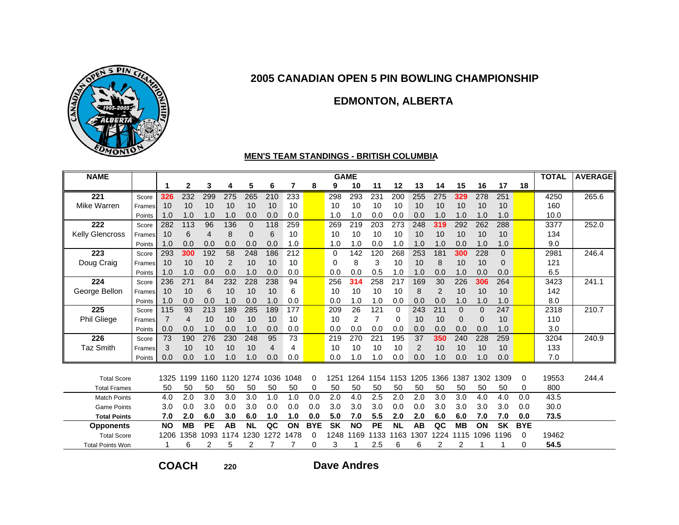

### **EDMONTON, ALBERTA**

#### **MEN'S TEAM STANDINGS - BRITISH COLUMBIA**

| <b>NAME</b>             |        |                |           |                 |           |             |                |      |            |           | <b>GAME</b> |                |           |                |     |           |          |                |            | <b>TOTAL</b> | <b>AVERAGE</b> |
|-------------------------|--------|----------------|-----------|-----------------|-----------|-------------|----------------|------|------------|-----------|-------------|----------------|-----------|----------------|-----|-----------|----------|----------------|------------|--------------|----------------|
|                         |        | 1              | 2         | 3               | 4         | 5           | 6              | 7    | 8          | 9         | 10          | 11             | 12        | 13             | 14  | 15        | 16       | 17             | 18         |              |                |
| 221                     | Score  | 326            | 232       | 299             | 275       | 265         | 210            | 233  |            | 298       | 293         | 231            | 200       | 255            | 275 | 329       | 278      | 251            |            | 4250         | 265.6          |
| Mike Warren             | Frames | 10             | 10        | 10              | 10        | 10          | 10             | 10   |            | 10        | 10          | 10             | 10        | 10             | 10  | 10        | 10       | 10             |            | 160          |                |
|                         | Points | 1.0            | 1.0       | 1.0             | 1.0       | 0.0         | 0.0            | 0.0  |            | 1.0       | 1.0         | 0.0            | 0.0       | 0.0            | 1.0 | 1.0       | 1.0      | 1.0            |            | 10.0         |                |
| 222                     | Score  | 282            | 113       | 96              | 136       | $\mathbf 0$ | 118            | 259  |            | 269       | 219         | 203            | 273       | 248            | 319 | 292       | 262      | 288            |            | 3377         | 252.0          |
| <b>Kelly Glencross</b>  | Frames | 10             | 6         | 4               | 8         | 0           | 6              | 10   |            | 10        | 10          | 10             | 10        | 10             | 10  | 10        | 10       | 10             |            | 134          |                |
|                         | Points | 1.0            | 0.0       | 0.0             | 0.0       | 0.0         | 0.0            | 1.0  |            | 1.0       | 1.0         | 0.0            | 1.0       | 1.0            | 1.0 | 0.0       | 1.0      | 1.0            |            | 9.0          |                |
| 223                     | Score  | 293            | 300       | 192             | 58        | 248         | 186            | 212  |            | $\Omega$  | 142         | 120            | 268       | 253            | 181 | 300       | 228      | $\mathbf{0}$   |            | 2981         | 246.4          |
| Doug Craig              | Frames | 10             | 10        | 10              | 2         | 10          | 10             | 10   |            | $\Omega$  | 8           | 3              | 10        | 10             | 8   | 10        | 10       | $\overline{0}$ |            | 121          |                |
|                         | Points | 1.0            | 1.0       | 0.0             | 0.0       | 1.0         | 0.0            | 0.0  |            | 0.0       | 0.0         | 0.5            | 1.0       | 1.0            | 0.0 | 1.0       | 0.0      | 0.0            |            | 6.5          |                |
| 224                     | Score  | 236            | 271       | 84              | 232       | 228         | 238            | 94   |            | 256       | 314         | 258            | 217       | 169            | 30  | 226       | 306      | 264            |            | 3423         | 241.1          |
| George Bellon           | Frames | 10             | 10        | 6               | 10        | 10          | 10             | 6    |            | 10        | 10          | 10             | 10        | 8              | 2   | 10        | 10       | 10             |            | 142          |                |
|                         | Points | 1.0            | 0.0       | 0.0             | 1.0       | 0.0         | 1.0            | 0.0  |            | 0.0       | 1.0         | 1.0            | 0.0       | 0.0            | 0.0 | 1.0       | 1.0      | 1.0            |            | 8.0          |                |
| 225                     | Score  | 115            | 93        | 213             | 189       | 285         | 189            | 177  |            | 209       | 26          | 121            | 0         | 243            | 211 | 0         | $\Omega$ | 247            |            | 2318         | 210.7          |
| Phil Gliege             | Frames | $\overline{7}$ | 4         | 10              | 10        | 10          | 10             | 10   |            | 10        | 2           | $\overline{7}$ | 0         | 10             | 10  | 0         | 0        | 10             |            | 110          |                |
|                         | Points | 0.0            | 0.0       | 1.0             | 0.0       | 1.0         | 0.0            | 0.0  |            | 0.0       | 0.0         | 0.0            | 0.0       | 0.0            | 0.0 | 0.0       | 0.0      | 1.0            |            | 3.0          |                |
| 226                     | Score  | 73             | 190       | 276             | 230       | 248         | 95             | 73   |            | 219       | 270         | 221            | 195       | 37             | 350 | 240       | 228      | 259            |            | 3204         | 240.9          |
| <b>Taz Smith</b>        | Frames | 3              | 10        | 10              | 10        | 10          | $\overline{4}$ | 4    |            | 10        | 10          | 10             | 10        | $\overline{2}$ | 10  | 10        | 10       | 10             |            | 133          |                |
|                         | Points | 0.0            | 0.0       | 1.0             | 1.0       | 1.0         | 0.0            | 0.0  |            | 0.0       | 1.0         | 1.0            | 0.0       | 0.0            | 1.0 | 0.0       | 1.0      | 0.0            |            | 7.0          |                |
|                         |        |                |           |                 |           |             |                |      |            |           |             |                |           |                |     |           |          |                |            |              |                |
| <b>Total Score</b>      |        | 1325           | 1199      | 1160            | 1120      | 1274        | 1036           | 1048 | 0          | 1251      | 1264        | 1154           | 1153      | 1205           | 366 | 1387      | 1302     | 1309           | 0          | 19553        | 244.4          |
| <b>Total Frames</b>     |        | 50             | 50        | 50              | 50        | 50          | 50             | 50   | 0          | 50        | 50          | 50             | 50        | 50             | 50  | 50        | 50       | 50             | 0          | 800          |                |
| <b>Match Points</b>     |        | 4.0            | 2.0       | 3.0             | 3.0       | 3.0         | 1.0            | 1.0  | 0.0        | 2.0       | 4.0         | 2.5            | 2.0       | 2.0            | 3.0 | 3.0       | 4.0      | 4.0            | 0.0        | 43.5         |                |
| <b>Game Points</b>      |        | 3.0            | 0.0       | 3.0             | 0.0       | 3.0         | 0.0            | 0.0  | 0.0        | 3.0       | 3.0         | 3.0            | 0.0       | 0.0            | 3.0 | 3.0       | 3.0      | 3.0            | 0.0        | 30.0         |                |
| <b>Total Points</b>     |        | 7.0            | 2.0       | 6.0             | 3.0       | 6.0         | 1.0            | 1.0  | 0.0        | 5.0       | 7.0         | 5.5            | 2.0       | 2.0            | 6.0 | 6.0       | 7.0      | 7.0            | 0.0        | 73.5         |                |
| <b>Opponents</b>        |        | <b>NO</b>      | <b>MB</b> | $\overline{PE}$ | <b>AB</b> | <b>NL</b>   | QC             | ON   | <b>BYE</b> | <b>SK</b> | <b>NO</b>   | PE             | <b>NL</b> | <b>AB</b>      | QC  | <b>MB</b> | ON       | <b>SK</b>      | <b>BYE</b> |              |                |
| <b>Total Score</b>      |        | 1206           | 1358      | 1093            | 174       | 1230        | 1272           | 1478 | 0          | 1248      | 169<br>1    | 1133           | 1163      | 307            | 224 | 1115      | 1096     | 1196           | 0          | 19462        |                |
| <b>Total Points Won</b> |        |                | 6         | 2               | 5         | 2           |                |      | 0          | 3         |             | 2.5            | 6         | 6              | 2   |           |          |                | 0          | 54.5         |                |

**COACH**

**220**

**Dave Andres**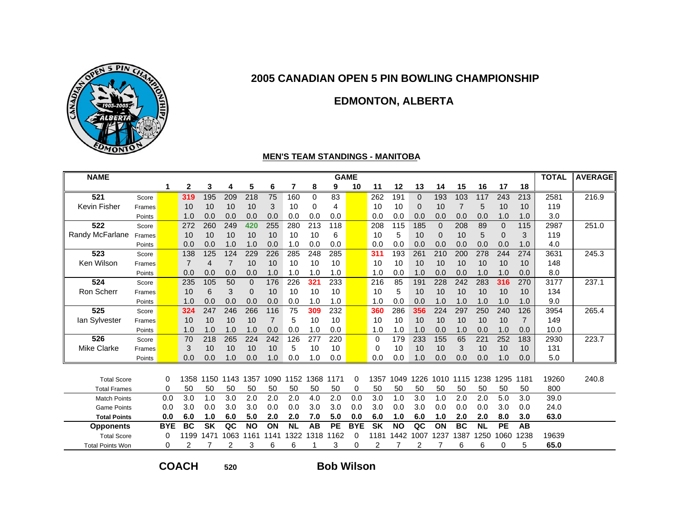

### **EDMONTON, ALBERTA**

#### **MEN'S TEAM STANDINGS - MANITOBA**

| <b>NAME</b>             |        |            |                |           |                |              |                |           |           |           | <b>GAME</b> |           |           |          |          |           |           |              |                | <b>TOTAL</b> | <b>AVERAGE</b> |
|-------------------------|--------|------------|----------------|-----------|----------------|--------------|----------------|-----------|-----------|-----------|-------------|-----------|-----------|----------|----------|-----------|-----------|--------------|----------------|--------------|----------------|
|                         |        | 1          | $\mathbf{2}$   | 3         | 4              | 5            | 6              | 7         | 8         | 9         | 10          | 11        | 12        | 13       | 14       | 15        | 16        | 17           | 18             |              |                |
| 521                     | Score  |            | 319            | 195       | 209            | 218          | 75             | 160       | $\Omega$  | 83        |             | 262       | 191       | $\Omega$ | 193      | 103       | 117       | 243          | 213            | 2581         | 216.9          |
| <b>Kevin Fisher</b>     | Frames |            | 10             | 10        | 10             | 10           | 3              | 10        | 0         | 4         |             | 10        | 10        | 0        | 10       | 7         | 5         | 10           | 10             | 119          |                |
|                         | Points |            | 1.0            | 0.0       | 0.0            | 0.0          | 0.0            | 0.0       | 0.0       | 0.0       |             | 0.0       | 0.0       | 0.0      | 0.0      | 0.0       | 0.0       | 1.0          | 1.0            | 3.0          |                |
| 522                     | Score  |            | 272            | 260       | 249            | 420          | 255            | 280       | 213       | 118       |             | 208       | 115       | 185      | $\Omega$ | 208       | 89        | $\mathbf{0}$ | 115            | 2987         | 251.0          |
| Randy McFarlane         | Frames |            | 10             | 10        | 10             | 10           | 10             | 10        | 10        | 6         |             | 10        | 5         | 10       | $\Omega$ | 10        | 5         | $\Omega$     | 3              | 119          |                |
|                         | Points |            | 0.0            | 0.0       | 1.0            | 1.0          | 0.0            | 1.0       | 0.0       | 0.0       |             | 0.0       | 0.0       | 0.0      | 0.0      | 0.0       | 0.0       | 0.0          | 1.0            | 4.0          |                |
| 523                     | Score  |            | 138            | 125       | 124            | 229          | 226            | 285       | 248       | 285       |             | 311       | 193       | 261      | 210      | 200       | 278       | 244          | 274            | 3631         | 245.3          |
| Ken Wilson              | Frames |            | $\overline{7}$ | 4         | $\overline{7}$ | 10           | 10             | 10        | 10        | 10        |             | 10        | 10        | 10       | 10       | 10        | 10        | 10           | 10             | 148          |                |
|                         | Points |            | 0.0            | 0.0       | 0.0            | 0.0          | 1.0            | 1.0       | 1.0       | 1.0       |             | 1.0       | 0.0       | 1.0      | 0.0      | 0.0       | 1.0       | 1.0          | 0.0            | 8.0          |                |
| 524                     | Score  |            | 235            | 105       | 50             | $\mathbf{0}$ | 176            | 226       | 321       | 233       |             | 216       | 85        | 191      | 228      | 242       | 283       | 316          | 270            | 3177         | 237.1          |
| Ron Scherr              | Frames |            | 10             | 6         | 3              | 0            | 10             | 10        | 10        | 10        |             | 10        | 5         | 10       | 10       | 10        | 10        | 10           | 10             | 134          |                |
|                         | Points |            | 1.0            | 0.0       | 0.0            | 0.0          | 0.0            | 0.0       | 1.0       | 1.0       |             | 1.0       | 0.0       | 0.0      | 1.0      | 1.0       | 1.0       | 1.0          | 1.0            | 9.0          |                |
| 525                     | Score  |            | 324            | 247       | 246            | 266          | 116            | 75        | 309       | 232       |             | 360       | 286       | 356      | 224      | 297       | 250       | 240          | 126            | 3954         | 265.4          |
| lan Sylvester           | Frames |            | 10             | 10        | 10             | 10           | $\overline{7}$ | 5         | 10        | 10        |             | 10        | 10        | 10       | 10       | 10        | 10        | 10           | $\overline{7}$ | 149          |                |
|                         | Points |            | 1.0            | 1.0       | 1.0            | 1.0          | 0.0            | 0.0       | 1.0       | 0.0       |             | 1.0       | 1.0       | 1.0      | 0.0      | 1.0       | 0.0       | 1.0          | 0.0            | 10.0         |                |
| 526                     | Score  |            | 70             | 218       | 265            | 224          | 242            | 126       | 277       | 220       |             | 0         | 179       | 233      | 155      | 65        | 221       | 252          | 183            | 2930         | 223.7          |
| <b>Mike Clarke</b>      | Frames |            | 3              | 10        | 10             | 10           | 10             | 5         | 10        | 10        |             | 0         | 10        | 10       | 10       | 3         | 10        | 10           | 10             | 131          |                |
|                         | Points |            | 0.0            | 0.0       | 1.0            | 0.0          | 1.0            | 0.0       | 1.0       | 0.0       |             | 0.0       | 0.0       | 1.0      | 0.0      | 0.0       | 0.0       | 1.0          | 0.0            | 5.0          |                |
|                         |        |            |                |           |                |              |                |           |           |           |             |           |           |          |          |           |           |              |                |              |                |
| <b>Total Score</b>      |        | 0          | 1358           | 1150      | 1143           | 1357         | 1090           |           | 1152 1368 | 1171      | 0           | 1357      | 1049      | 1226     | 1010     | 1115      | 1238      | 1295         | 1181           | 19260        | 240.8          |
| <b>Total Frames</b>     |        | 0          | 50             | 50        | 50             | 50           | 50             | 50        | 50        | 50        | 0           | 50        | 50        | 50       | 50       | 50        | 50        | 50           | 50             | 800          |                |
| <b>Match Points</b>     |        | 0.0        | 3.0            | 1.0       | 3.0            | 2.0          | 2.0            | 2.0       | 4.0       | 2.0       | 0.0         | 3.0       | 1.0       | 3.0      | 1.0      | 2.0       | 2.0       | 5.0          | 3.0            | 39.0         |                |
| <b>Game Points</b>      |        | 0.0        | 3.0            | 0.0       | 3.0            | 3.0          | 0.0            | 0.0       | 3.0       | 3.0       | 0.0         | 3.0       | 0.0       | 3.0      | 0.0      | 0.0       | 0.0       | 3.0          | 0.0            | 24.0         |                |
| <b>Total Points</b>     |        | 0.0        | 6.0            | 1.0       | 6.0            | 5.0          | 2.0            | 2.0       | 7.0       | 5.0       | 0.0         | 6.0       | 1.0       | 6.0      | 1.0      | 2.0       | 2.0       | 8.0          | 3.0            | 63.0         |                |
| <b>Opponents</b>        |        | <b>BYE</b> | <b>BC</b>      | <b>SK</b> | QC             | <b>NO</b>    | ON             | <b>NL</b> | AB        | <b>PE</b> | <b>BYE</b>  | <b>SK</b> | <b>NO</b> | QC       | ON       | <b>BC</b> | <b>NL</b> | <b>PE</b>    | AB             |              |                |
| <b>Total Score</b>      |        | 0          | 1199           | 1471      | 1063           | 1161         | 1141           | 1322      | 1318      | 1162      | 0           | 1181      | 1442      | 1007     | 237      | 1387      | 1250      | 1060         | 1238           | 19639        |                |
| <b>Total Points Won</b> |        | 0          | 2              |           | 2              | 3            | 6              | 6         |           | 3         | 0           | 2         |           | 2        |          | 6         | 6         | 0            | 5              | 65.0         |                |

**COACH**

**<sup>520</sup> Bob Wilson**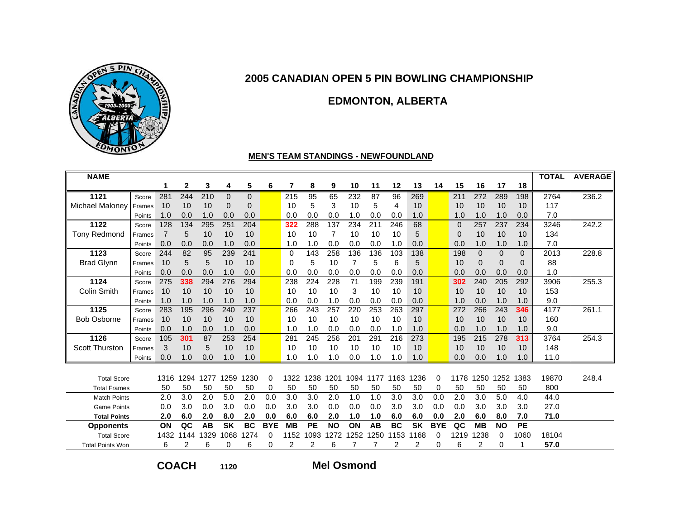

### **EDMONTON, ALBERTA**

#### **MEN'S TEAM STANDINGS - NEWFOUNDLAND**

| <b>NAME</b>             |        |      |      |      |           |           |            |             |           |           |      |      |           |           |            |          |                |           |              | <b>TOTAL</b> | <b>AVERAGE</b> |
|-------------------------|--------|------|------|------|-----------|-----------|------------|-------------|-----------|-----------|------|------|-----------|-----------|------------|----------|----------------|-----------|--------------|--------------|----------------|
|                         |        | 1    | 2    | 3    | 4         | 5         | 6          | 7           | 8         | 9         | 10   | 11   | 12        | 13        | 14         | 15       | 16             | 17        | 18           |              |                |
| 1121                    | Score  | 281  | 244  | 210  | 0         | 0         |            | 215         | 95        | 65        | 232  | 87   | 96        | 269       |            | 211      | 272            | 289       | 198          | 2764         | 236.2          |
| <b>Michael Maloney</b>  | Frames | 10   | 10   | 10   | 0         | 0         |            | 10          | 5         | 3         | 10   | 5    | 4         | 10        |            | 10       | 10             | 10        | 10           | 117          |                |
|                         | Points | 1.0  | 0.0  | 1.0  | 0.0       | 0.0       |            | 0.0         | 0.0       | 0.0       | 1.0  | 0.0  | 0.0       | 1.0       |            | 1.0      | 1.0            | 1.0       | 0.0          | 7.0          |                |
| 1122                    | Score  | 128  | 134  | 295  | 251       | 204       |            | 322         | 288       | 137       | 234  | 211  | 246       | 68        |            | $\Omega$ | 257            | 237       | 234          | 3246         | 242.2          |
| <b>Tony Redmond</b>     | Frames | 7    | 5    | 10   | 10        | 10        |            | 10          | 10        | 7         | 10   | 10   | 10        | 5         |            | 0        | 10             | 10        | 10           | 134          |                |
|                         | Points | 0.0  | 0.0  | 0.0  | 1.0       | 0.0       |            | 1.0         | 1.0       | 0.0       | 0.0  | 0.0  | 1.0       | 0.0       |            | 0.0      | 1.0            | 1.0       | 1.0          | 7.0          |                |
| 1123                    | Score  | 244  | 82   | 95   | 239       | 241       |            | $\mathbf 0$ | 143       | 258       | 136  | 136  | 103       | 138       |            | 198      | $\overline{0}$ | $\Omega$  | $\Omega$     | 2013         | 228.8          |
| <b>Brad Glynn</b>       | Frames | 10   | 5    | 5    | 10        | 10        |            | $\Omega$    | 5         | 10        | 7    | 5    | 6         | 5         |            | 10       | $\mathbf{0}$   | $\Omega$  | $\mathbf{0}$ | 88           |                |
|                         | Points | 0.0  | 0.0  | 0.0  | 1.0       | 0.0       |            | 0.0         | 0.0       | 0.0       | 0.0  | 0.0  | 0.0       | 0.0       |            | 0.0      | 0.0            | 0.0       | 0.0          | 1.0          |                |
| 1124                    | Score  | 275  | 338  | 294  | 276       | 294       |            | 238         | 224       | 228       | 71   | 199  | 239       | 191       |            | 302      | 240            | 205       | 292          | 3906         | 255.3          |
| <b>Colin Smith</b>      | Frames | 10   | 10   | 10   | 10        | 10        |            | 10          | 10        | 10        | 3    | 10   | 10        | 10        |            | 10       | 10             | 10        | 10           | 153          |                |
|                         | Points | 1.0  | 1.0  | 1.0  | 1.0       | 1.0       |            | 0.0         | 0.0       | 1.0       | 0.0  | 0.0  | 0.0       | 0.0       |            | 1.0      | 0.0            | 1.0       | 1.0          | 9.0          |                |
| 1125                    | Score  | 283  | 195  | 296  | 240       | 237       |            | 266         | 243       | 257       | 220  | 253  | 263       | 297       |            | 272      | 266            | 243       | 346          | 4177         | 261.1          |
| <b>Bob Osborne</b>      | Frames | 10   | 10   | 10   | 10        | 10        |            | 10          | 10        | 10        | 10   | 10   | 10        | 10        |            | 10       | 10             | 10        | 10           | 160          |                |
|                         | Points | 0.0  | 1.0  | 0.0  | 1.0       | 0.0       |            | 1.0         | 1.0       | 0.0       | 0.0  | 0.0  | 1.0       | 1.0       |            | 0.0      | 1.0            | 1.0       | 1.0          | 9.0          |                |
| 1126                    | Score  | 105  | 301  | 87   | 253       | 254       |            | 281         | 245       | 256       | 201  | 291  | 216       | 273       |            | 195      | 215            | 278       | 313          | 3764         | 254.3          |
| <b>Scott Thurston</b>   | Frames | 3    | 10   | 5    | 10        | 10        |            | 10          | 10        | 10        | 10   | 10   | 10        | 10        |            | 10       | 10             | 10        | 10           | 148          |                |
|                         | Points | 0.0  | 1.0  | 0.0  | 1.0       | 1.0       |            | 1.0         | 1.0       | 1.0       | 0.0  | 1.0  | 1.0       | 1.0       |            | 0.0      | 0.0            | 1.0       | 1.0          | 11.0         |                |
|                         |        |      |      |      |           |           |            |             |           |           |      |      |           |           |            |          |                |           |              |              |                |
| <b>Total Score</b>      |        | 1316 | 1294 | 1277 | 1259      | 1230      | 0          | 1322        | 1238      | 1201      | 1094 | 1177 | 1163      | 1236      | 0          | 1178     | 1250           | 1252      | 1383         | 19870        | 248.4          |
| <b>Total Frames</b>     |        | 50   | 50   | 50   | 50        | 50        | 0          | 50          | 50        | 50        | 50   | 50   | 50        | 50        | 0          | 50       | 50             | 50        | 50           | 800          |                |
| <b>Match Points</b>     |        | 2.0  | 3.0  | 2.0  | 5.0       | 2.0       | 0.0        | 3.0         | 3.0       | 2.0       | 1.0  | 1.0  | 3.0       | 3.0       | 0.0        | 2.0      | 3.0            | 5.0       | 4.0          | 44.0         |                |
| <b>Game Points</b>      |        | 0.0  | 3.0  | 0.0  | 3.0       | 0.0       | 0.0        | 3.0         | 3.0       | 0.0       | 0.0  | 0.0  | 3.0       | 3.0       | 0.0        | 0.0      | 3.0            | 3.0       | 3.0          | 27.0         |                |
| <b>Total Points</b>     |        | 2.0  | 6.0  | 2.0  | 8.0       | 2.0       | 0.0        | 6.0         | 6.0       | 2.0       | 1.0  | 1.0  | 6.0       | 6.0       | 0.0        | 2.0      | 6.0            | 8.0       | 7.0          | 71.0         |                |
| <b>Opponents</b>        |        | ON   | QC   | AB   | <b>SK</b> | <b>BC</b> | <b>BYE</b> | <b>MB</b>   | <b>PE</b> | <b>NO</b> | ON   | AB   | <b>BC</b> | <b>SK</b> | <b>BYE</b> | QC       | <b>MB</b>      | <b>NO</b> | <b>PE</b>    |              |                |
| <b>Total Score</b>      |        | 1432 | 1144 | 1329 | 860       | 1274      | 0          | 1152        | 1093      | 1272      | 1252 | 1250 | 1153      | 1168      | 0          | 1219     | 1238           | 0         | 1060         | 18104        |                |
| <b>Total Points Won</b> |        | 6    | 2    | 6    | 0         | 6         | 0          | 2           | 2         | 6         |      |      | 2         | 2         | $\Omega$   | 6        | 2              | 0         | 1            | 57.0         |                |

**COACH**

**<sup>1120</sup> Mel Osmond**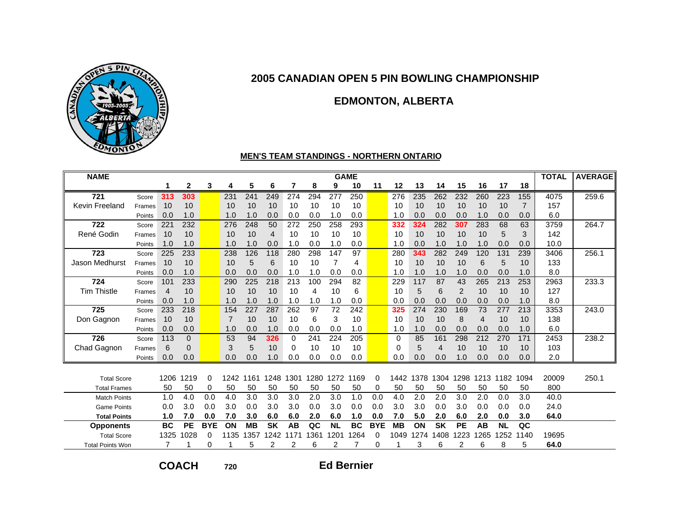

### **EDMONTON, ALBERTA**

#### **MEN'S TEAM STANDINGS - NORTHERN ONTARIO**

| <b>NAME</b>             |        |                |           |            |                |           |                |          |          |           | <b>GAME</b> |            |           |      |           |                |           |           |                | <b>TOTAL</b> | <b>AVERAGE</b> |
|-------------------------|--------|----------------|-----------|------------|----------------|-----------|----------------|----------|----------|-----------|-------------|------------|-----------|------|-----------|----------------|-----------|-----------|----------------|--------------|----------------|
|                         |        | 1              | 2         | 3          | 4              | 5         | 6              | 7        | 8        | 9         | 10          | 11         | 12        | 13   | 14        | 15             | 16        | 17        | 18             |              |                |
| 721                     | Score  | 313            | 303       |            | 231            | 241       | 249            | 274      | 294      | 277       | 250         |            | 276       | 235  | 262       | 232            | 260       | 223       | 155            | 4075         | 259.6          |
| Kevin Freeland          | Frames | 10             | 10        |            | 10             | 10        | 10             | 10       | 10       | 10        | 10          |            | 10        | 10   | 10        | 10             | 10        | 10        | $\overline{7}$ | 157          |                |
|                         | Points | 0.0            | 1.0       |            | 1.0            | 1.0       | 0.0            | 0.0      | 0.0      | 1.0       | 0.0         |            | 1.0       | 0.0  | 0.0       | 0.0            | 1.0       | 0.0       | 0.0            | 6.0          |                |
| 722                     | Score  | 221            | 232       |            | 276            | 248       | 50             | 272      | 250      | 258       | 293         |            | 332       | 324  | 282       | 307            | 283       | 68        | 63             | 3759         | 264.7          |
| René Godin              | Frames | 10             | 10        |            | 10             | 10        | $\overline{4}$ | 10       | 10       | 10        | 10          |            | 10        | 10   | 10        | 10             | 10        | 5         | 3              | 142          |                |
|                         | Points | 1.0            | 1.0       |            | 1.0            | 1.0       | 0.0            | 1.0      | 0.0      | 1.0       | 0.0         |            | 1.0       | 0.0  | 1.0       | 1.0            | 1.0       | 0.0       | 0.0            | 10.0         |                |
| 723                     | Score  | 225            | 233       |            | 238            | 126       | 118            | 280      | 298      | 147       | 97          |            | 280       | 343  | 282       | 249            | 120       | 131       | 239            | 3406         | 256.1          |
| <b>Jason Medhurst</b>   | Frames | 10             | 10        |            | 10             | 5         | 6              | 10       | 10       | 7         | 4           |            | 10        | 10   | 10        | 10             | 6         | 5         | 10             | 133          |                |
|                         | Points | 0.0            | 1.0       |            | 0.0            | 0.0       | 0.0            | 1.0      | 1.0      | 0.0       | 0.0         |            | 1.0       | 1.0  | 1.0       | 1.0            | 0.0       | 0.0       | 1.0            | 8.0          |                |
| 724                     | Score  | 101            | 233       |            | 290            | 225       | 218            | 213      | 100      | 294       | 82          |            | 229       | 117  | 87        | 43             | 265       | 213       | 253            | 2963         | 233.3          |
| <b>Tim Thistle</b>      | Frames | $\overline{4}$ | 10        |            | 10             | 10        | 10             | 10       | 4        | 10        | 6           |            | 10        | 5    | 6         | $\overline{2}$ | 10        | 10        | 10             | 127          |                |
|                         | Points | 0.0            | 1.0       |            | 1.0            | 1.0       | 1.0            | 1.0      | 1.0      | 1.0       | 0.0         |            | 0.0       | 0.0  | 0.0       | 0.0            | 0.0       | 0.0       | 1.0            | 8.0          |                |
| 725                     | Score  | 233            | 218       |            | 154            | 227       | 287            | 262      | 97       | 72        | 242         |            | 325       | 274  | 230       | 169            | 73        | 277       | 213            | 3353         | 243.0          |
| Don Gagnon              | Frames | 10             | 10        |            | $\overline{7}$ | 10        | 10             | 10       | 6        | 3         | 10          |            | 10        | 10   | 10        | 8              | 4         | 10        | 10             | 138          |                |
|                         | Points | 0.0            | 0.0       |            | 1.0            | 0.0       | 1.0            | 0.0      | 0.0      | 0.0       | 1.0         |            | 1.0       | 1.0  | 0.0       | 0.0            | 0.0       | 0.0       | 1.0            | 6.0          |                |
| 726                     | Score  | 113            | $\Omega$  |            | 53             | 94        | 326            | $\Omega$ | 241      | 224       | 205         |            | $\Omega$  | 85   | 161       | 298            | 212       | 270       | 171            | 2453         | 238.2          |
| Chad Gagnon             | Frames | 6              | $\Omega$  |            | 3              | 5         | 10             | 0        | 10       | 10        | 10          |            | 0         | 5    | 4         | 10             | 10        | 10        | 10             | 103          |                |
|                         | Points | 0.0            | 0.0       |            | 0.0            | 0.0       | 1.0            | 0.0      | 0.0      | 0.0       | 0.0         |            | 0.0       | 0.0  | 0.0       | 1.0            | 0.0       | 0.0       | 0.0            | 2.0          |                |
|                         |        |                |           |            |                |           |                |          |          |           |             |            |           |      |           |                |           |           |                |              |                |
| <b>Total Score</b>      |        | 1206           | 1219      | $\Omega$   | 1242           | 1161      | 1248           | 1301     | 1280     | 1272      | 1169        | 0          | 1442      | 1378 | 1304      | 1298           | 1213      | 1182      | 1094           | 20009        | 250.1          |
| <b>Total Frames</b>     |        | 50             | 50        | 0          | 50             | 50        | 50             | 50       | 50       | 50        | 50          | 0          | 50        | 50   | 50        | 50             | 50        | 50        | 50             | 800          |                |
| <b>Match Points</b>     |        | 1.0            | 4.0       | 0.0        | 4.0            | 3.0       | 3.0            | 3.0      | 2.0      | 3.0       | 1.0         | 0.0        | 4.0       | 2.0  | 2.0       | 3.0            | 2.0       | 0.0       | 3.0            | 40.0         |                |
| <b>Game Points</b>      |        | 0.0            | 3.0       | 0.0        | 3.0            | 0.0       | 3.0            | 3.0      | 0.0      | 3.0       | 0.0         | 0.0        | 3.0       | 3.0  | 0.0       | 3.0            | 0.0       | 0.0       | 0.0            | 24.0         |                |
| <b>Total Points</b>     |        | 1.0            | 7.0       | 0.0        | 7.0            | 3.0       | 6.0            | 6.0      | 2.0      | 6.0       | 1.0         | 0.0        | 7.0       | 5.0  | 2.0       | 6.0            | 2.0       | 0.0       | 3.0            | 64.0         |                |
| <b>Opponents</b>        |        | <b>BC</b>      | <b>PE</b> | <b>BYE</b> | ON             | <b>MB</b> | <b>SK</b>      | AB       | QC       | <b>NL</b> | <b>BC</b>   | <b>BYE</b> | <b>MB</b> | ON   | <b>SK</b> | PE             | <b>AB</b> | <b>NL</b> | QC             |              |                |
| <b>Total Score</b>      |        | 1325           | 1028      | 0          | 1135           | 1357      | 1242           | 1171     | 361<br>1 | 1201      | 1264        | 0          | 1049      | 1274 | 408       | 1223           | 1265      | 252       | 1140           | 19695        |                |
| <b>Total Points Won</b> |        |                |           | 0          |                | 5         | 2              | 2        | 6        | 2         |             | 0          |           | 3    | 6         | 2              | 6         | 8         | 5              | 64.0         |                |

**COACH**

**<sup>720</sup> Ed Bernier**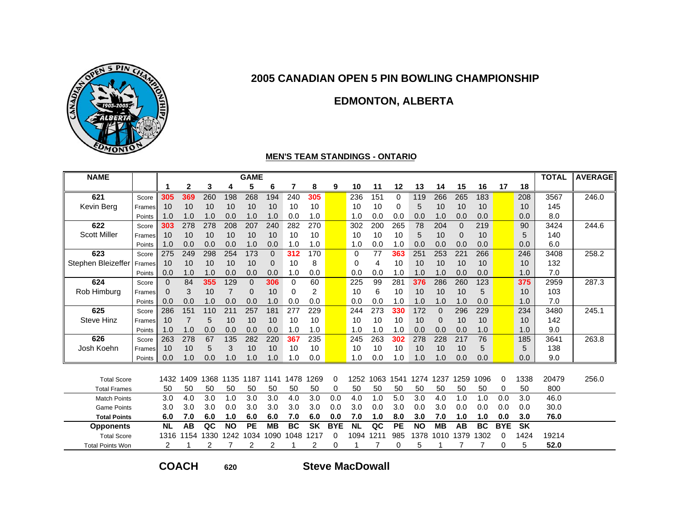

### **EDMONTON, ALBERTA**

#### **MEN'S TEAM STANDINGS - ONTARIO**

| <b>NAME</b>             |        |           |              |      |           | <b>GAME</b> |             |           |           |            |           |      |           |           |           |          |           |            |           | <b>TOTAL</b> | <b>AVERAGE</b> |
|-------------------------|--------|-----------|--------------|------|-----------|-------------|-------------|-----------|-----------|------------|-----------|------|-----------|-----------|-----------|----------|-----------|------------|-----------|--------------|----------------|
|                         |        | 1         | $\mathbf{2}$ | 3    | 4         | 5           | 6           | 7         | 8         | 9          | 10        | 11   | 12        | 13        | 14        | 15       | 16        | 17         | 18        |              |                |
| 621                     | Score  | 305       | 369          | 260  | 198       | 268         | 194         | 240       | 305       |            | 236       | 151  | 0         | 119       | 266       | 265      | 183       |            | 208       | 3567         | 246.0          |
| Kevin Berg              | Frames | 10        | 10           | 10   | 10        | 10          | 10          | 10        | 10        |            | 10        | 10   | $\Omega$  | 5         | 10        | 10       | 10        |            | 10        | 145          |                |
|                         | Points | 1.0       | 1.0          | 1.0  | 0.0       | 1.0         | 1.0         | 0.0       | 1.0       |            | 1.0       | 0.0  | 0.0       | 0.0       | 1.0       | 0.0      | 0.0       |            | 0.0       | 8.0          |                |
| 622                     | Score  | 303       | 278          | 278  | 208       | 207         | 240         | 282       | 270       |            | 302       | 200  | 265       | 78        | 204       | $\Omega$ | 219       |            | 90        | 3424         | 244.6          |
| <b>Scott Miller</b>     | Frames | 10        | 10           | 10   | 10        | 10          | 10          | 10        | 10        |            | 10        | 10   | 10        | 5         | 10        | $\Omega$ | 10        |            | 5         | 140          |                |
|                         | Points | 1.0       | 0.0          | 0.0  | 0.0       | 1.0         | 0.0         | 1.0       | 1.0       |            | 1.0       | 0.0  | 1.0       | 0.0       | 0.0       | 0.0      | 0.0       |            | 0.0       | 6.0          |                |
| 623                     | Score  | 275       | 249          | 298  | 254       | 173         | $\Omega$    | 312       | 170       |            | $\Omega$  | 77   | 363       | 251       | 253       | 221      | 266       |            | 246       | 3408         | 258.2          |
| Stephen Bleizeffer      | Frames | 10        | 10           | 10   | 10        | 10          | $\mathbf 0$ | 10        | 8         |            | 0         | 4    | 10        | 10        | 10        | 10       | 10        |            | 10        | 132          |                |
|                         | Points | 0.0       | 1.0          | 1.0  | 0.0       | 0.0         | 0.0         | 1.0       | 0.0       |            | 0.0       | 0.0  | 1.0       | 1.0       | 1.0       | 0.0      | 0.0       |            | 1.0       | 7.0          |                |
| 624                     | Score  | $\Omega$  | 84           | 355  | 129       | $\Omega$    | 306         | 0         | 60        |            | 225       | 99   | 281       | 376       | 286       | 260      | 123       |            | 375       | 2959         | 287.3          |
| Rob Himburg             | Frames | $\Omega$  | 3            | 10   | 7         | $\Omega$    | 10          | 0         | 2         |            | 10        | 6    | 10        | 10        | 10        | 10       | 5         |            | 10        | 103          |                |
|                         | Points | 0.0       | 0.0          | 1.0  | 0.0       | 0.0         | 1.0         | 0.0       | 0.0       |            | 0.0       | 0.0  | 1.0       | 1.0       | 1.0       | 1.0      | 0.0       |            | 1.0       | 7.0          |                |
| 625                     | Score  | 286       | 151          | 110  | 211       | 257         | 181         | 277       | 229       |            | 244       | 273  | 330       | 172       | $\Omega$  | 296      | 229       |            | 234       | 3480         | 245.1          |
| <b>Steve Hinz</b>       | Frames | 10        |              | 5    | 10        | 10          | 10          | 10        | 10        |            | 10        | 10   | 10        | 10        | $\Omega$  | 10       | 10        |            | 10        | 142          |                |
|                         | Points | 1.0       | 1.0          | 0.0  | 0.0       | 0.0         | 0.0         | 1.0       | 1.0       |            | 1.0       | 1.0  | 1.0       | 0.0       | 0.0       | 0.0      | 1.0       |            | 1.0       | 9.0          |                |
| 626                     | Score  | 263       | 278          | 67   | 135       | 282         | 220         | 367       | 235       |            | 245       | 263  | 302       | 278       | 228       | 217      | 76        |            | 185       | 3641         | 263.8          |
| Josh Koehn              | Frames | 10        | 10           | 5    | 3         | 10          | 10          | 10        | 10        |            | 10        | 10   | 10        | 10        | 10        | 10       | 5         |            | 5         | 138          |                |
|                         | Points | 0.0       | 1.0          | 0.0  | 1.0       | 1.0         | 1.0         | 1.0       | 0.0       |            | 1.0       | 0.0  | 1.0       | 1.0       | 1.0       | 0.0      | 0.0       |            | 0.0       | 9.0          |                |
|                         |        |           |              |      |           |             |             |           |           |            |           |      |           |           |           |          |           |            |           |              |                |
| <b>Total Score</b>      |        | 1432      | 1409         | 1368 | 1135      | 1187        | 1141        | 1478      | 1269      | 0          | 1252      | 1063 | 1541      | 1274      | 1237      | 1259     | 1096      | 0          | 1338      | 20479        | 256.0          |
| <b>Total Frames</b>     |        | 50        | 50           | 50   | 50        | 50          | 50          | 50        | 50        | 0          | 50        | 50   | 50        | 50        | 50        | 50       | 50        | 0          | 50        | 800          |                |
| <b>Match Points</b>     |        | 3.0       | 4.0          | 3.0  | 1.0       | 3.0         | 3.0         | 4.0       | 3.0       | 0.0        | 4.0       | 1.0  | 5.0       | 3.0       | 4.0       | 1.0      | 1.0       | 0.0        | 3.0       | 46.0         |                |
| <b>Game Points</b>      |        | 3.0       | 3.0          | 3.0  | 0.0       | 3.0         | 3.0         | 3.0       | 3.0       | 0.0        | 3.0       | 0.0  | 3.0       | 0.0       | 3.0       | 0.0      | 0.0       | 0.0        | 0.0       | 30.0         |                |
| <b>Total Points</b>     |        | 6.0       | 7.0          | 6.0  | 1.0       | 6.0         | 6.0         | 7.0       | 6.0       | 0.0        | 7.0       | 1.0  | 8.0       | 3.0       | 7.0       | 1.0      | 1.0       | 0.0        | 3.0       | 76.0         |                |
| <b>Opponents</b>        |        | <b>NL</b> | AB           | QC   | <b>NO</b> | <b>PE</b>   | <b>MB</b>   | <b>BC</b> | <b>SK</b> | <b>BYE</b> | <b>NL</b> | QC   | <b>PE</b> | <b>NO</b> | <b>MB</b> | AB       | <b>BC</b> | <b>BYE</b> | <b>SK</b> |              |                |
| <b>Total Score</b>      |        | 1316      | 1154         | 1330 | 1242      | 1034        | 1090        | 1048      | 1217      | 0          | 1094      | 1211 | 985       | 1378      | 1010      | 1379     | 1302      | 0          | 1424      | 19214        |                |
| <b>Total Points Won</b> |        | 2         |              |      |           | 2           | 2           |           | 2         | 0          |           |      | 0         | 5         |           |          |           | 0          | 5         | 52.0         |                |

**COACH**

**<sup>620</sup> Steve MacDowall**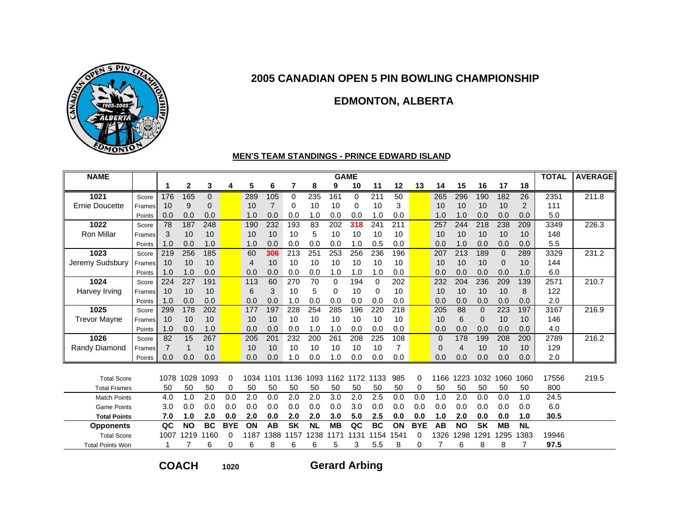

### **EDMONTON, ALBERTA**

#### **MEN'S TEAM STANDINGS - PRINCE EDWARD ISLAND**

| <b>NAME</b>             |        |      |           |           |            |      |                |           |           | <b>GAME</b> |          |           |                |            |              |           |           |              |           | <b>TOTAL</b> | <b>AVERAGE</b> |
|-------------------------|--------|------|-----------|-----------|------------|------|----------------|-----------|-----------|-------------|----------|-----------|----------------|------------|--------------|-----------|-----------|--------------|-----------|--------------|----------------|
|                         |        | 1    | 2         | 3         | 4          | 5    | 6              | 7         | 8         | 9           | 10       | 11        | 12             | 13         | 14           | 15        | 16        | 17           | 18        |              |                |
| 1021                    | Score  | 176  | 165       | 0         |            | 289  | 105            | $\Omega$  | 235       | 161         | $\Omega$ | 211       | 50             |            | 265          | 296       | 190       | 182          | 26        | 2351         | 211.8          |
| <b>Ernie Doucette</b>   | Frames | 10   | 9         | 0         |            | 10   | $\overline{7}$ | 0         | 10        | 10          | 0        | 10        | 3              |            | 10           | 10        | 10        | 10           | 2         | 111          |                |
|                         | Points | 0.0  | 0.0       | 0.0       |            | 1.0  | 0.0            | 0.0       | 1.0       | 0.0         | 0.0      | 1.0       | 0.0            |            | 1.0          | 1.0       | 0.0       | 0.0          | 0.0       | 5.0          |                |
| 1022                    | Score  | 78   | 187       | 248       |            | 190  | 232            | 193       | 83        | 202         | 318      | 241       | 211            |            | 257          | 244       | 218       | 238          | 209       | 3349         | 226.3          |
| <b>Ron Millar</b>       | Frames | 3    | 10        | 10        |            | 10   | 10             | 10        | 5         | 10          | 10       | 10        | 10             |            | 10           | 10        | 10        | 10           | 10        | 148          |                |
|                         | Points | 1.0  | 0.0       | 1.0       |            | 1.0  | 0.0            | 0.0       | 0.0       | 0.0         | 1.0      | 0.5       | 0.0            |            | 0.0          | 1.0       | 0.0       | 0.0          | 0.0       | 5.5          |                |
| 1023                    | Score  | 219  | 256       | 185       |            | 60   | 306            | 213       | 251       | 253         | 256      | 236       | 196            |            | 207          | 213       | 189       | $\mathbf{0}$ | 289       | 3329         | 231.2          |
| Jeremy Sudsbury         | Frames | 10   | 10        | 10        |            | 4    | 10             | 10        | 10        | 10          | 10       | 10        | 10             |            | 10           | 10        | 10        | $\Omega$     | 10        | 144          |                |
|                         | Points | 1.0  | 1.0       | 0.0       |            | 0.0  | 0.0            | 0.0       | 0.0       | 1.0         | 1.0      | 1.0       | 0.0            |            | 0.0          | 0.0       | 0.0       | 0.0          | 1.0       | 6.0          |                |
| 1024                    | Score  | 224  | 227       | 191       |            | 113  | 60             | 270       | 70        | $\Omega$    | 194      | $\Omega$  | 202            |            | 232          | 204       | 236       | 209          | 139       | 2571         | 210.7          |
| Harvey Irving           | Frames | 10   | 10        | 10        |            | 6    | 3              | 10        | 5         | 0           | 10       | 0         | 10             |            | 10           | 10        | 10        | 10           | 8         | 122          |                |
|                         | Points | 1.0  | 0.0       | 0.0       |            | 0.0  | 0.0            | 1.0       | 0.0       | 0.0         | 0.0      | 0.0       | 0.0            |            | 0.0          | 0.0       | 0.0       | 0.0          | 0.0       | 2.0          |                |
| 1025                    | Score  | 299  | 178       | 202       |            | 177  | 197            | 228       | 254       | 285         | 196      | 220       | 218            |            | 205          | 88        | $\Omega$  | 223          | 197       | 3167         | 216.9          |
| <b>Trevor Mayne</b>     | Frames | 10   | 10        | 10        |            | 10   | 10             | 10        | 10        | 10          | 10       | 10        | 10             |            | 10           | 6         | 0         | 10           | 10        | 146          |                |
|                         | Points | 1.0  | 0.0       | 1.0       |            | 0.0  | 0.0            | 0.0       | 1.0       | 1.0         | 0.0      | 0.0       | 0.0            |            | 0.0          | 0.0       | 0.0       | 0.0          | 0.0       | 4.0          |                |
| 1026                    | Score  | 82   | 15        | 267       |            | 205  | 201            | 232       | 200       | 261         | 208      | 225       | 108            |            | $\mathbf{0}$ | 178       | 199       | 208          | 200       | 2789         | 216.2          |
| Randy Diamond           | Frames | 7    |           | 10        |            | 10   | 10             | 10        | 10        | 10          | 10       | 10        | $\overline{7}$ |            | $\Omega$     | 4         | 10        | 10           | 10        | 129          |                |
|                         | Points | 0.0  | 0.0       | 0.0       |            | 0.0  | 0.0            | 1.0       | 0.0       | 1.0         | 0.0      | 0.0       | 0.0            |            | 0.0          | 0.0       | 0.0       | 0.0          | 0.0       | 2.0          |                |
|                         |        |      |           |           |            |      |                |           |           |             |          |           |                |            |              |           |           |              |           |              |                |
| <b>Total Score</b>      |        | 1078 | 1028      | 1093      | 0          | 1034 | 1101           | 1136      | 1093      | 1162        | 1172     | 1133      | 985            | 0          | 1166         | 1223      | 1032      | 1060         | 1060      | 17556        | 219.5          |
| <b>Total Frames</b>     |        | 50   | 50        | 50        | 0          | 50   | 50             | 50        | 50        | 50          | 50       | 50        | 50             | 0          | 50           | 50        | 50        | 50           | 50        | 800          |                |
| <b>Match Points</b>     |        | 4.0  | 1.0       | 2.0       | 0.0        | 2.0  | 0.0            | 2.0       | 2.0       | 3.0         | 2.0      | 2.5       | 0.0            | 0.0        | 1.0          | 2.0       | 0.0       | 0.0          | 1.0       | 24.5         |                |
| <b>Game Points</b>      |        | 3.0  | 0.0       | 0.0       | 0.0        | 0.0  | 0.0            | 0.0       | 0.0       | 0.0         | 3.0      | 0.0       | 0.0            | 0.0        | 0.0          | 0.0       | 0.0       | 0.0          | 0.0       | 6.0          |                |
| <b>Total Points</b>     |        | 7.0  | 1.0       | 2.0       | 0.0        | 2.0  | 0.0            | 2.0       | 2.0       | 3.0         | 5.0      | 2.5       | 0.0            | 0.0        | 1.0          | 2.0       | 0.0       | 0.0          | 1.0       | 30.5         |                |
| <b>Opponents</b>        |        | QC   | <b>NO</b> | <b>BC</b> | <b>BYE</b> | ON   | AB             | <b>SK</b> | <b>NL</b> | <b>MB</b>   | QC       | <b>BC</b> | ON             | <b>BYE</b> | AB           | <b>NO</b> | <b>SK</b> | <b>MB</b>    | <b>NL</b> |              |                |
| <b>Total Score</b>      |        | 1007 | 1219      | 1160      | 0          | 1187 | 1388           | 1157      | 238<br>1  | 1171        | 1131     | 1154      | 1541           | 0          | 1326         | 1298      | 1291      | 1295         | 1383      | 19946        |                |
| <b>Total Points Won</b> |        |      |           | 6         | 0          | 6    | 8              | 6         | 6         | 5           | 3        | 5.5       | 8              | 0          |              | 6         | 8         | 8            | 7         | 97.5         |                |

**COACH**

**<sup>1020</sup> Gerard Arbing**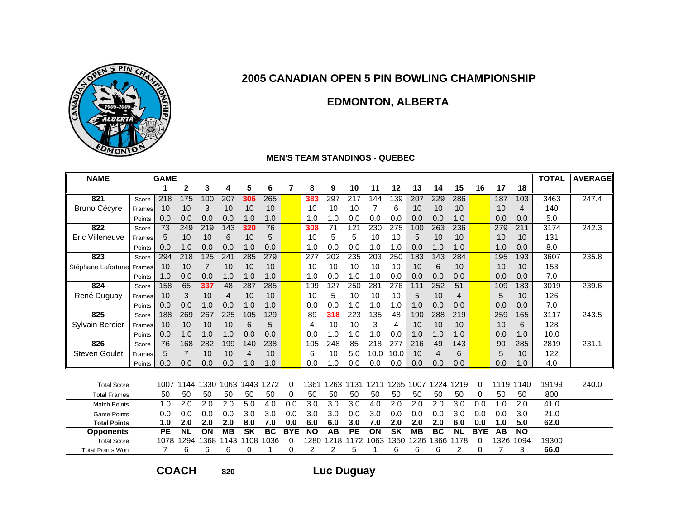

# **EDMONTON, ALBERTA**

#### **MEN'S TEAM STANDINGS - QUEBEC**

| <b>NAME</b>             |        | <b>GAME</b> |                |      |           |           |           |            |           |      |           |      |                          |           |           |                |            |      |                | <b>TOTAL</b> | <b>AVERAGE</b> |
|-------------------------|--------|-------------|----------------|------|-----------|-----------|-----------|------------|-----------|------|-----------|------|--------------------------|-----------|-----------|----------------|------------|------|----------------|--------------|----------------|
|                         |        | 1           | 2              | 3    | 4         | 5         | 6         | 7          | 8         | 9    | 10        | 11   | 12                       | 13        | 14        | 15             | 16         | 17   | 18             |              |                |
| 821                     | Score  | 218         | 175            | 100  | 207       | 306       | 265       |            | 383       | 297  | 217       | 144  | 139                      | 207       | 229       | 286            |            | 187  | 103            | 3463         | 247.4          |
| <b>Bruno Cécyre</b>     | Frames | 10          | 10             | 3    | 10        | 10        | 10        |            | 10        | 10   | 10        | 7    | 6                        | 10        | 10        | 10             |            | 10   | $\overline{4}$ | 140          |                |
|                         | Points | 0.0         | 0.0            | 0.0  | 0.0       | 1.0       | 1.0       |            | 1.0       | 1.0  | 0.0       | 0.0  | 0.0                      | 0.0       | 0.0       | 1.0            |            | 0.0  | 0.0            | 5.0          |                |
| 822                     | Score  | 73          | 249            | 219  | 143       | 320       | 76        |            | 308       | 71   | 121       | 230  | 275                      | 100       | 263       | 236            |            | 279  | 211            | 3174         | 242.3          |
| Eric Villeneuve         | Frames | 5           | 10             | 10   | 6         | 10        | 5         |            | 10        | 5    | 5         | 10   | 10                       | 5         | 10        | 10             |            | 10   | 10             | 131          |                |
|                         | Points | 0.0         | 1.0            | 0.0  | 0.0       | 1.0       | 0.0       |            | 1.0       | 0.0  | 0.0       | 1.0  | 1.0                      | 0.0       | 1.0       | 1.0            |            | 1.0  | 0.0            | 8.0          |                |
| 823                     | Score  | 294         | 218            | 125  | 241       | 285       | 279       |            | 277       | 202  | 235       | 203  | 250                      | 183       | 143       | 284            |            | 195  | 193            | 3607         | 235.8          |
| Stéphane Lafortune      | Frames | 10          | 10             | 7    | 10        | 10        | 10        |            | 10        | 10   | 10        | 10   | 10                       | 10        | 6         | 10             |            | 10   | 10             | 153          |                |
|                         | Points | 1.0         | 0.0            | 0.0  | 1.0       | 1.0       | 1.0       |            | 1.0       | 0.0  | 1.0       | 1.0  | 0.0                      | 0.0       | 0.0       | 0.0            |            | 0.0  | 0.0            | 7.0          |                |
| 824                     | Score  | 158         | 65             | 337  | 48        | 287       | 285       |            | 199       | 127  | 250       | 281  | 276                      | 111       | 252       | 51             |            | 109  | 183            | 3019         | 239.6          |
| René Duguay             | Frames | 10          | 3              | 10   | 4         | 10        | 10        |            | 10        | 5    | 10        | 10   | 10                       | 5         | 10        | $\overline{4}$ |            | 5    | 10             | 126          |                |
|                         | Points | 0.0         | 0.0            | 1.0  | 0.0       | 1.0       | 1.0       |            | 0.0       | 0.0  | 1.0       | 1.0  | 1.0                      | 1.0       | 0.0       | 0.0            |            | 0.0  | 0.0            | 7.0          |                |
| 825                     | Score  | 188         | 269            | 267  | 225       | 105       | 129       |            | 89        | 318  | 223       | 135  | 48                       | 190       | 288       | 219            |            | 259  | 165            | 3117         | 243.5          |
| Sylvain Bercier         | Frames | 10          | 10             | 10   | 10        | 6         | 5         |            | 4         | 10   | 10        | 3    | 4                        | 10        | 10        | 10             |            | 10   | 6              | 128          |                |
|                         | Points | 0.0         | 1.0            | 1.0  | 1.0       | 0.0       | 0.0       |            | 0.0       | 1.0  | 1.0       | 1.0  | 0.0                      | 1.0       | 1.0       | 1.0            |            | 0.0  | 1.0            | 10.0         |                |
| 826                     | Score  | 76          | 168            | 282  | 199       | 140       | 238       |            | 105       | 248  | 85        | 218  | 277                      | 216       | 49        | 143            |            | 90   | 285            | 2819         | 231.1          |
| <b>Steven Goulet</b>    | Frames | 5           | $\overline{7}$ | 10   | 10        | 4         | 10        |            | 6         | 10   | 5.0       | 10.0 | 10.0                     | 10        | 4         | 6              |            | 5    | 10             | 122          |                |
|                         | Points | 0.0         | 0.0            | 0.0  | 0.0       | 1.0       | 1.0       |            | 0.0       | 1.0  | 0.0       | 0.0  | 0.0                      | 0.0       | 0.0       | 0.0            |            | 0.0  | 1.0            | 4.0          |                |
|                         |        |             |                |      |           |           |           |            |           |      |           |      |                          |           |           |                |            |      |                |              |                |
| <b>Total Score</b>      |        | 1007        | 1144           | 1330 | 1063      | 1443      | 1272      | 0          | 1361      | 1263 | 131<br>1  | 1211 | 1265                     | 1007      | 1224      | 1219           | 0          | 1119 | 1140           | 19199        | 240.0          |
| <b>Total Frames</b>     |        | 50          | 50             | 50   | 50        | 50        | 50        | 0          | 50        | 50   | 50        | 50   | 50                       | 50        | 50        | 50             | 0          | 50   | 50             | 800          |                |
| <b>Match Points</b>     |        | 1.0         | 2.0            | 2.0  | 2.0       | 5.0       | 4.0       | 0.0        | 3.0       | 3.0  | 3.0       | 4.0  | 2.0                      | 2.0       | 2.0       | 3.0            | 0.0        | 1.0  | 2.0            | 41.0         |                |
| <b>Game Points</b>      |        | 0.0         | 0.0            | 0.0  | 0.0       | 3.0       | 3.0       | 0.0        | 3.0       | 3.0  | 0.0       | 3.0  | 0.0                      | 0.0       | 0.0       | 3.0            | 0.0        | 0.0  | 3.0            | 21.0         |                |
| <b>Total Points</b>     |        | 1.0         | 2.0            | 2.0  | 2.0       | 8.0       | 7.0       | 0.0        | 6.0       | 6.0  | 3.0       | 7.0  | 2.0                      | 2.0       | 2.0       | 6.0            | 0.0        | 1.0  | 5.0            | 62.0         |                |
| <b>Opponents</b>        |        | <b>PE</b>   | <b>NL</b>      | ON   | <b>MB</b> | <b>SK</b> | <b>BC</b> | <b>BYE</b> | <b>NO</b> | AB   | <b>PE</b> | ON   | $\overline{\mathsf{sk}}$ | <b>MB</b> | <b>BC</b> | <b>NL</b>      | <b>BYE</b> | AB   | <b>NO</b>      |              |                |
| <b>Total Score</b>      |        | 1078        | 1294           | 1368 | 143       | 1108      | 1036      | 0          | 1280      | 1218 | 1172      | 1063 | 1350                     | 1226      | 1366      | 1178           | 0          | 1326 | 1094           | 19300        |                |
| <b>Total Points Won</b> |        | 7           | 6              | 6    | 6         | 0         |           | 0          | 2         | 2    | 5         |      | 6                        | 6         | 6         | 2              | 0          |      | 3              | 66.0         |                |

**COACH**

**<sup>820</sup> Luc Duguay**